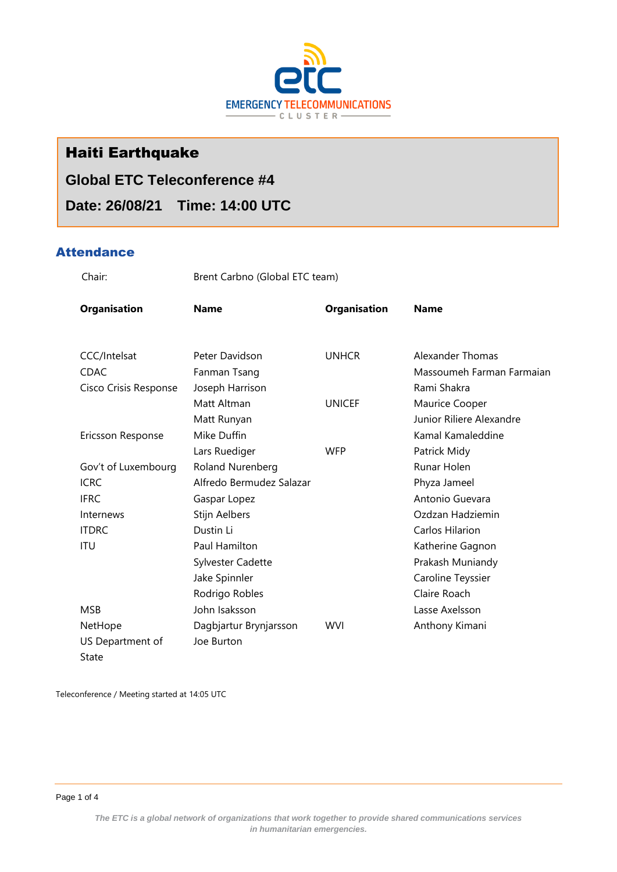

# Haiti Earthquake

# **Global ETC Teleconference #4**

**Date: 26/08/21 Time: 14:00 UTC**

## **Attendance**

Chair: Brent Carbno (Global ETC team)

| <b>Organisation</b>   | <b>Name</b>              | <b>Organisation</b> | <b>Name</b>               |
|-----------------------|--------------------------|---------------------|---------------------------|
|                       |                          |                     |                           |
| CCC/Intelsat          | Peter Davidson           | <b>UNHCR</b>        | Alexander Thomas          |
| <b>CDAC</b>           | Fanman Tsang             |                     | Massoumeh Farman Farmaian |
| Cisco Crisis Response | Joseph Harrison          |                     | Rami Shakra               |
|                       | Matt Altman              | <b>UNICEF</b>       | Maurice Cooper            |
|                       | Matt Runyan              |                     | Junior Riliere Alexandre  |
| Ericsson Response     | Mike Duffin              |                     | Kamal Kamaleddine         |
|                       | Lars Ruediger            | <b>WFP</b>          | Patrick Midy              |
| Gov't of Luxembourg   | Roland Nurenberg         |                     | Runar Holen               |
| <b>ICRC</b>           | Alfredo Bermudez Salazar |                     | Phyza Jameel              |
| <b>IFRC</b>           | Gaspar Lopez             |                     | Antonio Guevara           |
| Internews             | Stijn Aelbers            |                     | Ozdzan Hadziemin          |
| <b>ITDRC</b>          | Dustin Li                |                     | Carlos Hilarion           |
| ITU                   | <b>Paul Hamilton</b>     |                     | Katherine Gagnon          |
|                       | Sylvester Cadette        |                     | Prakash Muniandy          |
|                       | Jake Spinnler            |                     | Caroline Teyssier         |
|                       | Rodrigo Robles           |                     | Claire Roach              |
| <b>MSB</b>            | John Isaksson            |                     | Lasse Axelsson            |
| NetHope               | Dagbjartur Brynjarsson   | <b>WVI</b>          | Anthony Kimani            |
| US Department of      | Joe Burton               |                     |                           |
| State                 |                          |                     |                           |

Teleconference / Meeting started at 14:05 UTC

Page 1 of 4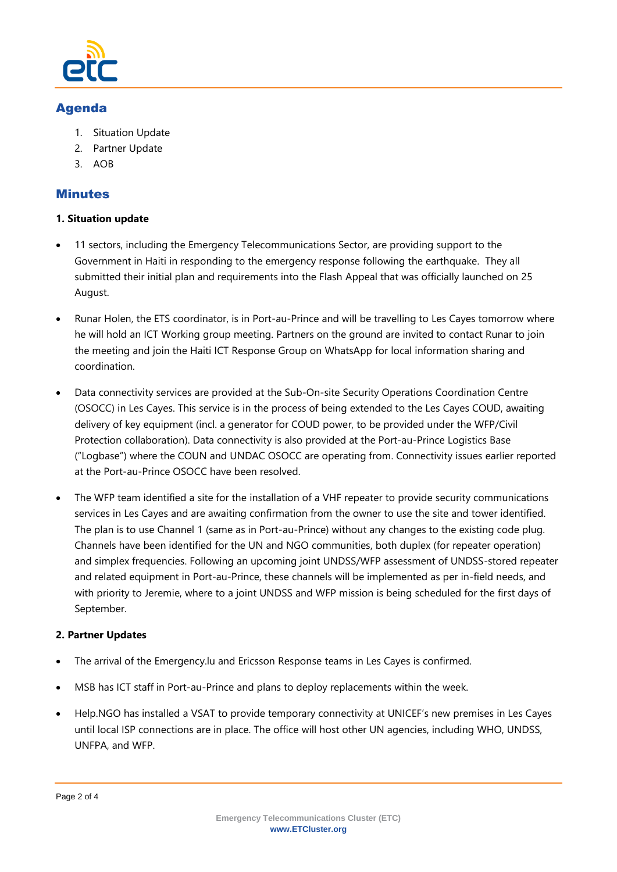

# Agenda

- 1. Situation Update
- 2. Partner Update
- 3. AOB

# Minutes

#### **1. Situation update**

- 11 sectors, including the Emergency Telecommunications Sector, are providing support to the Government in Haiti in responding to the emergency response following the earthquake. They all submitted their initial plan and requirements into the Flash Appeal that was officially launched on 25 August.
- Runar Holen, the ETS coordinator, is in Port-au-Prince and will be travelling to Les Cayes tomorrow where he will hold an ICT Working group meeting. Partners on the ground are invited to contact Runar to join the meeting and join the Haiti ICT Response Group on WhatsApp for local information sharing and coordination.
- Data connectivity services are provided at the Sub-On-site Security Operations Coordination Centre (OSOCC) in Les Cayes. This service is in the process of being extended to the Les Cayes COUD, awaiting delivery of key equipment (incl. a generator for COUD power, to be provided under the WFP/Civil Protection collaboration). Data connectivity is also provided at the Port-au-Prince Logistics Base ("Logbase") where the COUN and UNDAC OSOCC are operating from. Connectivity issues earlier reported at the Port-au-Prince OSOCC have been resolved.
- The WFP team identified a site for the installation of a VHF repeater to provide security communications services in Les Cayes and are awaiting confirmation from the owner to use the site and tower identified. The plan is to use Channel 1 (same as in Port-au-Prince) without any changes to the existing code plug. Channels have been identified for the UN and NGO communities, both duplex (for repeater operation) and simplex frequencies. Following an upcoming joint UNDSS/WFP assessment of UNDSS-stored repeater and related equipment in Port-au-Prince, these channels will be implemented as per in-field needs, and with priority to Jeremie, where to a joint UNDSS and WFP mission is being scheduled for the first days of September.

## **2. Partner Updates**

- The arrival of the Emergency.lu and Ericsson Response teams in Les Cayes is confirmed.
- MSB has ICT staff in Port-au-Prince and plans to deploy replacements within the week.
- Help.NGO has installed a VSAT to provide temporary connectivity at UNICEF's new premises in Les Cayes until local ISP connections are in place. The office will host other UN agencies, including WHO, UNDSS, UNFPA, and WFP.

Page 2 of 4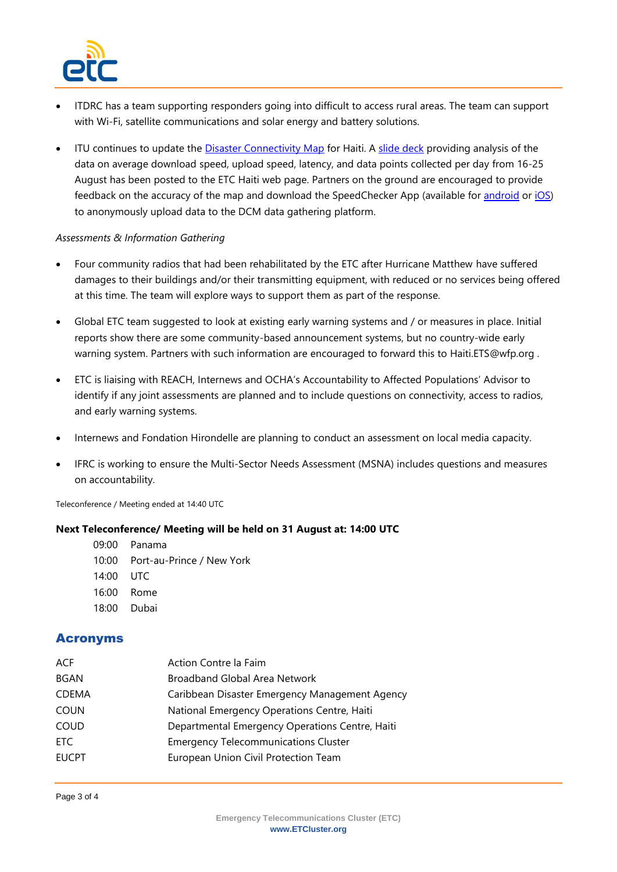

- ITDRC has a team supporting responders going into difficult to access rural areas. The team can support with Wi-Fi, satellite communications and solar energy and battery solutions.
- ITU continues to update the [Disaster Connectivity Map](https://www.itu.int/itu-d/tnd-map-public/dcm/) for Haiti. A [slide deck](https://www.etcluster.org/document/disaster-connectivity-map-haiti-data-26-august-2021) providing analysis of the data on average download speed, upload speed, latency, and data points collected per day from 16-25 August has been posted to the ETC Haiti web page. Partners on the ground are encouraged to provide feedback on the accuracy of the map and download the SpeedChecker App (available for [android](https://play.google.com/store/apps/details?id=uk.co.broadbandspeedchecker&hl=en) or [iOS\)](https://apps.apple.com/gb/app/speed-checker/id658790195) to anonymously upload data to the DCM data gathering platform.

#### *Assessments & Information Gathering*

- Four community radios that had been rehabilitated by the ETC after Hurricane Matthew have suffered damages to their buildings and/or their transmitting equipment, with reduced or no services being offered at this time. The team will explore ways to support them as part of the response.
- Global ETC team suggested to look at existing early warning systems and / or measures in place. Initial reports show there are some community-based announcement systems, but no country-wide early warning system. Partners with such information are encouraged to forward this to Haiti.ETS@wfp.org .
- ETC is liaising with REACH, Internews and OCHA's Accountability to Affected Populations' Advisor to identify if any joint assessments are planned and to include questions on connectivity, access to radios, and early warning systems.
- Internews and Fondation Hirondelle are planning to conduct an assessment on local media capacity.
- IFRC is working to ensure the Multi-Sector Needs Assessment (MSNA) includes questions and measures on accountability.

Teleconference / Meeting ended at 14:40 UTC

#### **Next Teleconference/ Meeting will be held on 31 August at: 14:00 UTC**

- 09:00 Panama
- 10:00 Port-au-Prince / New York
- 14:00 UTC
- 16:00 Rome
- 18:00 Dubai

#### Acronyms

| ACF          | Action Contre la Faim                           |
|--------------|-------------------------------------------------|
| <b>BGAN</b>  | Broadband Global Area Network                   |
| <b>CDEMA</b> | Caribbean Disaster Emergency Management Agency  |
| <b>COUN</b>  | National Emergency Operations Centre, Haiti     |
| COUD         | Departmental Emergency Operations Centre, Haiti |
| ETC.         | <b>Emergency Telecommunications Cluster</b>     |
| <b>EUCPT</b> | European Union Civil Protection Team            |
|              |                                                 |